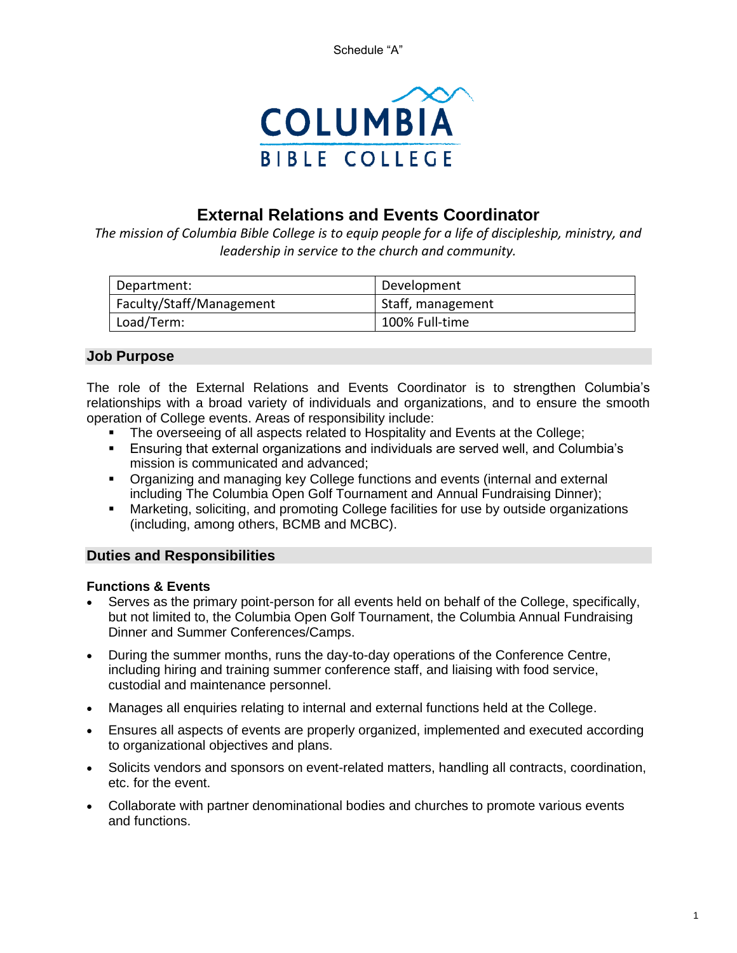

# **External Relations and Events Coordinator**

*The mission of Columbia Bible College is to equip people for a life of discipleship, ministry, and leadership in service to the church and community.*

| Department:              | Development       |
|--------------------------|-------------------|
| Faculty/Staff/Management | Staff, management |
| Load/Term:               | 100% Full-time    |

# **Job Purpose**

The role of the External Relations and Events Coordinator is to strengthen Columbia's relationships with a broad variety of individuals and organizations, and to ensure the smooth operation of College events. Areas of responsibility include:

- The overseeing of all aspects related to Hospitality and Events at the College;
- **E**nsuring that external organizations and individuals are served well, and Columbia's mission is communicated and advanced;
- Organizing and managing key College functions and events (internal and external including The Columbia Open Golf Tournament and Annual Fundraising Dinner);
- Marketing, soliciting, and promoting College facilities for use by outside organizations (including, among others, BCMB and MCBC).

### **Duties and Responsibilities**

#### **Functions & Events**

- Serves as the primary point-person for all events held on behalf of the College, specifically, but not limited to, the Columbia Open Golf Tournament, the Columbia Annual Fundraising Dinner and Summer Conferences/Camps.
- During the summer months, runs the day-to-day operations of the Conference Centre, including hiring and training summer conference staff, and liaising with food service, custodial and maintenance personnel.
- Manages all enquiries relating to internal and external functions held at the College.
- Ensures all aspects of events are properly organized, implemented and executed according to organizational objectives and plans.
- Solicits vendors and sponsors on event-related matters, handling all contracts, coordination, etc. for the event.
- Collaborate with partner denominational bodies and churches to promote various events and functions.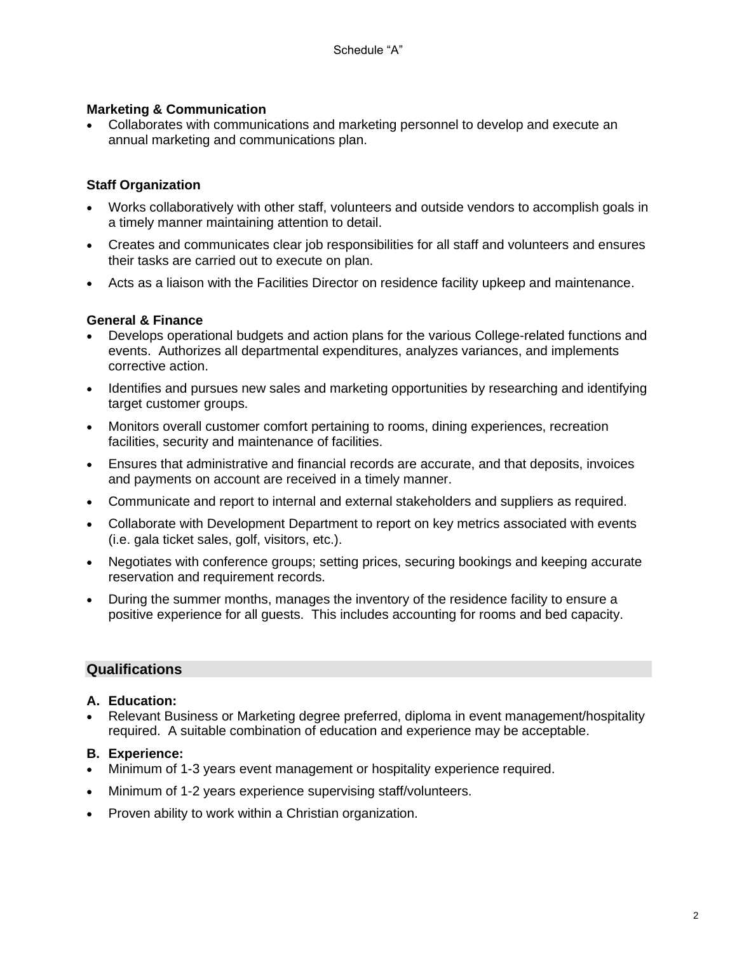#### **Marketing & Communication**

• Collaborates with communications and marketing personnel to develop and execute an annual marketing and communications plan.

### **Staff Organization**

- Works collaboratively with other staff, volunteers and outside vendors to accomplish goals in a timely manner maintaining attention to detail.
- Creates and communicates clear job responsibilities for all staff and volunteers and ensures their tasks are carried out to execute on plan.
- Acts as a liaison with the Facilities Director on residence facility upkeep and maintenance.

#### **General & Finance**

- Develops operational budgets and action plans for the various College-related functions and events. Authorizes all departmental expenditures, analyzes variances, and implements corrective action.
- Identifies and pursues new sales and marketing opportunities by researching and identifying target customer groups.
- Monitors overall customer comfort pertaining to rooms, dining experiences, recreation facilities, security and maintenance of facilities.
- Ensures that administrative and financial records are accurate, and that deposits, invoices and payments on account are received in a timely manner.
- Communicate and report to internal and external stakeholders and suppliers as required.
- Collaborate with Development Department to report on key metrics associated with events (i.e. gala ticket sales, golf, visitors, etc.).
- Negotiates with conference groups; setting prices, securing bookings and keeping accurate reservation and requirement records.
- During the summer months, manages the inventory of the residence facility to ensure a positive experience for all guests. This includes accounting for rooms and bed capacity.

#### **Qualifications**

#### **A. Education:**

• Relevant Business or Marketing degree preferred, diploma in event management/hospitality required. A suitable combination of education and experience may be acceptable.

#### **B. Experience:**

- Minimum of 1-3 years event management or hospitality experience required.
- Minimum of 1-2 years experience supervising staff/volunteers.
- Proven ability to work within a Christian organization.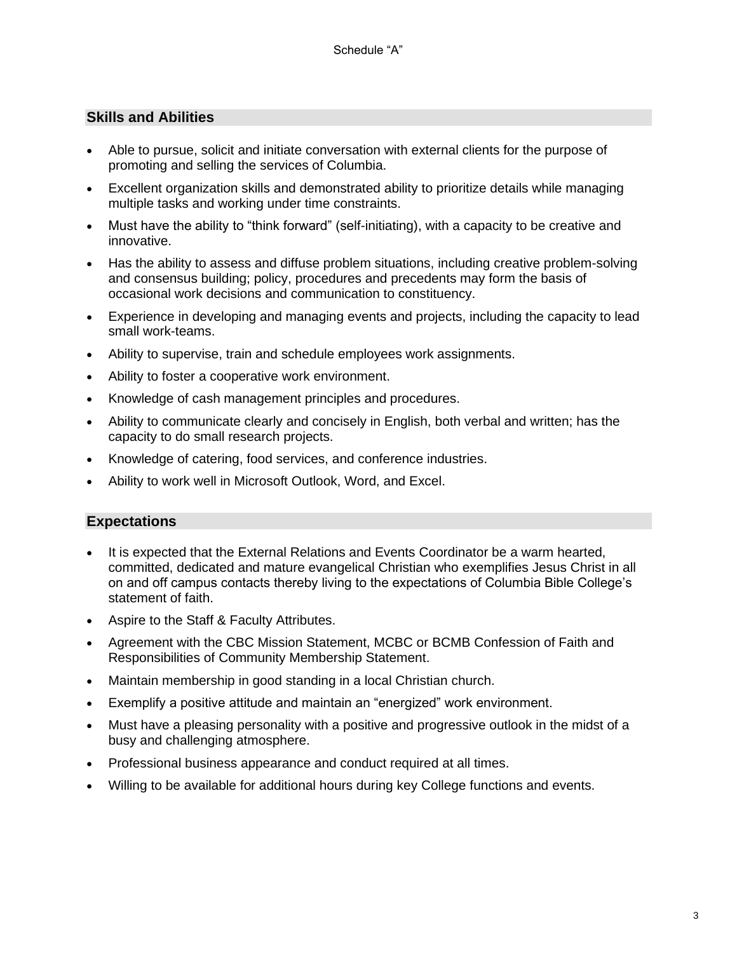### **Skills and Abilities**

- Able to pursue, solicit and initiate conversation with external clients for the purpose of promoting and selling the services of Columbia.
- Excellent organization skills and demonstrated ability to prioritize details while managing multiple tasks and working under time constraints.
- Must have the ability to "think forward" (self-initiating), with a capacity to be creative and innovative.
- Has the ability to assess and diffuse problem situations, including creative problem-solving and consensus building; policy, procedures and precedents may form the basis of occasional work decisions and communication to constituency.
- Experience in developing and managing events and projects, including the capacity to lead small work-teams.
- Ability to supervise, train and schedule employees work assignments.
- Ability to foster a cooperative work environment.
- Knowledge of cash management principles and procedures.
- Ability to communicate clearly and concisely in English, both verbal and written; has the capacity to do small research projects.
- Knowledge of catering, food services, and conference industries.
- Ability to work well in Microsoft Outlook, Word, and Excel.

#### **Expectations**

- It is expected that the External Relations and Events Coordinator be a warm hearted. committed, dedicated and mature evangelical Christian who exemplifies Jesus Christ in all on and off campus contacts thereby living to the expectations of Columbia Bible College's statement of faith.
- Aspire to the Staff & Faculty Attributes.
- Agreement with the CBC Mission Statement, MCBC or BCMB Confession of Faith and Responsibilities of Community Membership Statement.
- Maintain membership in good standing in a local Christian church.
- Exemplify a positive attitude and maintain an "energized" work environment.
- Must have a pleasing personality with a positive and progressive outlook in the midst of a busy and challenging atmosphere.
- Professional business appearance and conduct required at all times.
- Willing to be available for additional hours during key College functions and events.